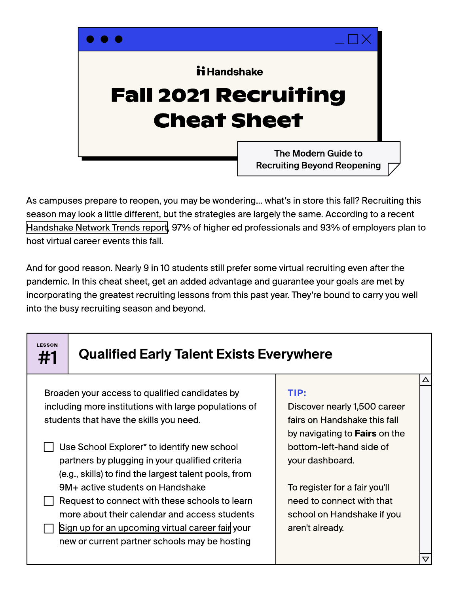

As campuses prepare to reopen, you may be wondering… what's in store this fall? Recruiting this season may look a little different, but the strategies are largely the same. According to a recent [Handshake Network Trends report](https://joinhandshake.com/network-trends/virtual-recruiting/), 97% of higher ed professionals and 93% of employers plan to host virtual career events this fall.

And for good reason. Nearly 9 in 10 students still prefer some virtual recruiting even after the pandemic. In this cheat sheet, get an added advantage and guarantee your goals are met by incorporating the greatest recruiting lessons from this past year. They're bound to carry you well into the busy recruiting season and beyond.

| <b>LESSON</b><br>#1 |                                                                                       |                                                                                                                                                                                                                                                                                                                                                                                                                                                       |                                                         |
|---------------------|---------------------------------------------------------------------------------------|-------------------------------------------------------------------------------------------------------------------------------------------------------------------------------------------------------------------------------------------------------------------------------------------------------------------------------------------------------------------------------------------------------------------------------------------------------|---------------------------------------------------------|
|                     |                                                                                       |                                                                                                                                                                                                                                                                                                                                                                                                                                                       |                                                         |
|                     |                                                                                       |                                                                                                                                                                                                                                                                                                                                                                                                                                                       |                                                         |
|                     | including more institutions with large populations of<br>Discover nearly 1,500 career |                                                                                                                                                                                                                                                                                                                                                                                                                                                       |                                                         |
|                     | students that have the skills you need.<br>fairs on Handshake this fall               |                                                                                                                                                                                                                                                                                                                                                                                                                                                       |                                                         |
|                     |                                                                                       | by navigating to Fairs on the                                                                                                                                                                                                                                                                                                                                                                                                                         |                                                         |
|                     |                                                                                       | bottom-left-hand side of                                                                                                                                                                                                                                                                                                                                                                                                                              |                                                         |
|                     |                                                                                       | your dashboard.                                                                                                                                                                                                                                                                                                                                                                                                                                       |                                                         |
|                     |                                                                                       |                                                                                                                                                                                                                                                                                                                                                                                                                                                       |                                                         |
|                     |                                                                                       | To register for a fair you'll                                                                                                                                                                                                                                                                                                                                                                                                                         |                                                         |
|                     |                                                                                       | need to connect with that                                                                                                                                                                                                                                                                                                                                                                                                                             |                                                         |
|                     |                                                                                       | school on Handshake if you                                                                                                                                                                                                                                                                                                                                                                                                                            |                                                         |
|                     |                                                                                       | aren't already.                                                                                                                                                                                                                                                                                                                                                                                                                                       |                                                         |
|                     |                                                                                       |                                                                                                                                                                                                                                                                                                                                                                                                                                                       |                                                         |
|                     |                                                                                       |                                                                                                                                                                                                                                                                                                                                                                                                                                                       | 77                                                      |
|                     |                                                                                       | Broaden your access to qualified candidates by<br>Use School Explorer* to identify new school<br>partners by plugging in your qualified criteria<br>(e.g., skills) to find the largest talent pools, from<br>9M+ active students on Handshake<br>Request to connect with these schools to learn<br>more about their calendar and access students<br>Sign up for an upcoming virtual career fair your<br>new or current partner schools may be hosting | <b>Qualified Early Talent Exists Everywhere</b><br>TIP: |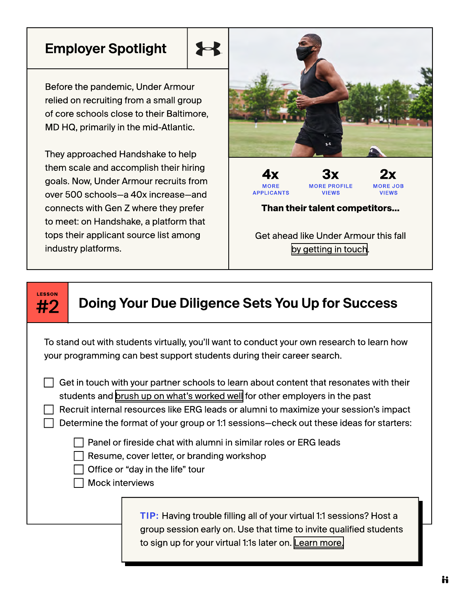## Employer Spotlight

Before the pandemic, Under Armour relied on recruiting from a small group of core schools close to their Baltimore, MD HQ, primarily in the mid-Atlantic.

They approached Handshake to help them scale and accomplish their hiring goals. Now, Under Armour recruits from over 500 schools—a 40x increase—and connects with Gen Z where they prefer to meet: on Handshake, a platform that tops their applicant source list among industry platforms.



Get ahead like Under Armour this fall [by getting in touch](https://joinhandshake.com/employers/request-more-info/).

## Lesson

## #2 | Doing Your Due Diligence Sets You Up for Success

To stand out with students virtually, you'll want to conduct your own research to learn how your programming can best support students during their career search.

 $\Box$  Get in touch with your partner schools to learn about content that resonates with their students and [brush up on what's worked well](https://joinhandshake.com/blog/employers/virtual-career-fairs-7-ways-employers-can-stand-out/) for other employers in the past

Recruit internal resources like ERG leads or alumni to maximize your session's impact

Determine the format of your group or 1:1 sessions—check out these ideas for starters:

Panel or fireside chat with alumni in similar roles or ERG leads

Resume, cover letter, or branding workshop

Office or "day in the life" tour

Mock interviews

Tip: Having trouble filling all of your virtual 1:1 sessions? Host a group session early on. Use that time to invite qualified students to sign up for your virtual 1:1s later on. [Learn more.](https://joinhandshake.com/employers/request-more-info/?)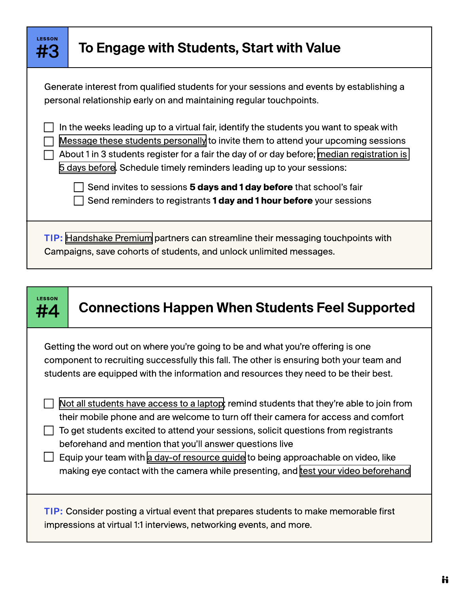| LESSON<br><b>#3</b>                                                                                                                                                                                                                                                                                                                                 | To Engage with Students, Start with Value                                                                                                  |  |  |
|-----------------------------------------------------------------------------------------------------------------------------------------------------------------------------------------------------------------------------------------------------------------------------------------------------------------------------------------------------|--------------------------------------------------------------------------------------------------------------------------------------------|--|--|
| Generate interest from qualified students for your sessions and events by establishing a<br>personal relationship early on and maintaining regular touchpoints.                                                                                                                                                                                     |                                                                                                                                            |  |  |
| In the weeks leading up to a virtual fair, identify the students you want to speak with<br>Message these students personally to invite them to attend your upcoming sessions<br>About 1 in 3 students register for a fair the day of or day before; median registration is<br>5 days before. Schedule timely reminders leading up to your sessions: |                                                                                                                                            |  |  |
|                                                                                                                                                                                                                                                                                                                                                     | Send invites to sessions 5 days and 1 day before that school's fair<br>Send reminders to registrants 1 day and 1 hour before your sessions |  |  |
| TIP: Handshake Premium partners can streamline their messaging touchpoints with<br>Campaigns, save cohorts of students, and unlock unlimited messages.                                                                                                                                                                                              |                                                                                                                                            |  |  |
|                                                                                                                                                                                                                                                                                                                                                     |                                                                                                                                            |  |  |



## $\frac{H_4}{H_4}$  Connections Happen When Students Feel Supported

Getting the word out on where you're going to be and what you're offering is one component to recruiting successfully this fall. The other is ensuring both your team and students are equipped with the information and resources they need to be their best.

 $\Box$  [Not all students have access to a laptop](https://joinhandshake.com/blog/employers/6-employer-strategies-for-addressing-the-digital-divide/); remind students that they're able to join from their mobile phone and are welcome to turn off their camera for access and comfort

 $\Box$  To get students excited to attend your sessions, solicit questions from registrants beforehand and mention that you'll answer questions live

Equip your team with [a day-of resource guide](https://www.forbes.com/sites/maryabbajay/2020/04/20/best-practices-for-virtual-presentations-15-expert-tips-that-work-for-everyone/?sh=70f8d983d196) to being approachable on video, like making eye contact with the camera while presenting, and [test your video beforehand](https://support.joinhandshake.com/hc/en-us/articles/360055116693-Handshake-Video-Test)

Tip: Consider posting a virtual event that prepares students to make memorable first impressions at virtual 1:1 interviews, networking events, and more.